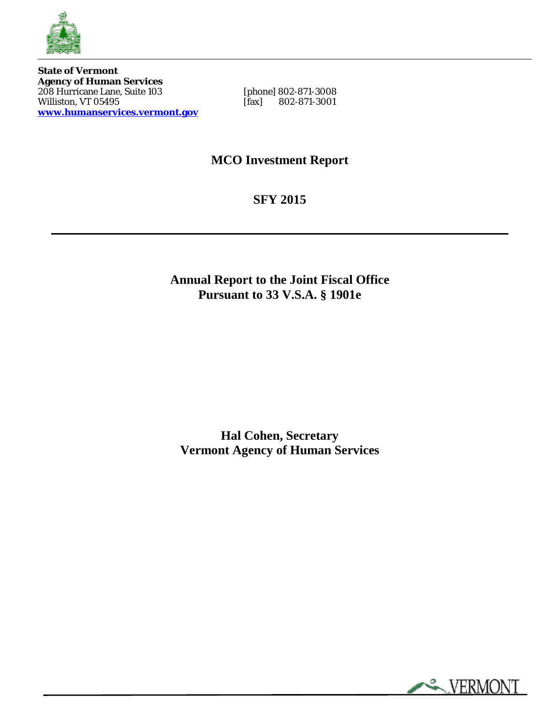

**State of Vermont Agency of Human Services**  208 Hurricane Lane, Suite 103 [phone] 802-871-3008 Property of Humannia Section<br>
208 Hurricane Lane, Suite 103 [phone] 802-871-3008<br>
Williston, VT 05495 [fax] 802-871-3001 **[www.humanservices.vermont.gov](http://www.humanservices.vermont.gov/)**

**MCO Investment Report**

**SFY 2015**

**Annual Report to the Joint Fiscal Office Pursuant to 33 V.S.A. § 1901e**

**Hal Cohen, Secretary Vermont Agency of Human Services**